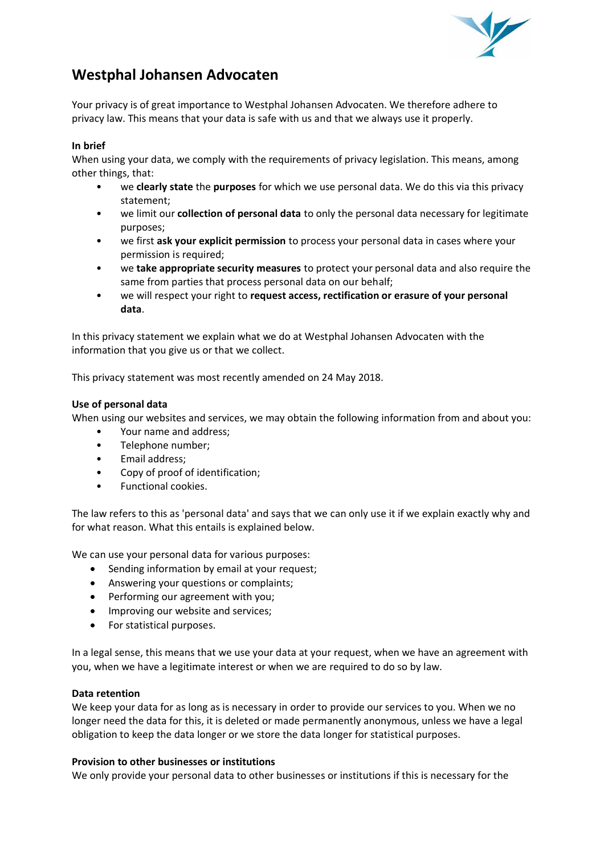

# **Westphal Johansen Advocaten**

Your privacy is of great importance to Westphal Johansen Advocaten. We therefore adhere to privacy law. This means that your data is safe with us and that we always use it properly.

# **In brief**

When using your data, we comply with the requirements of privacy legislation. This means, among other things, that:

- we **clearly state** the **purposes** for which we use personal data. We do this via this privacy statement;
- we limit our **collection of personal data** to only the personal data necessary for legitimate purposes;
- we first **ask your explicit permission** to process your personal data in cases where your permission is required;
- we **take appropriate security measures** to protect your personal data and also require the same from parties that process personal data on our behalf;
- we will respect your right to **request access, rectification or erasure of your personal data**.

In this privacy statement we explain what we do at Westphal Johansen Advocaten with the information that you give us or that we collect.

This privacy statement was most recently amended on 24 May 2018.

# **Use of personal data**

When using our websites and services, we may obtain the following information from and about you:

- Your name and address;
- Telephone number;
- Email address;
- Copy of proof of identification:
- Functional cookies.

The law refers to this as 'personal data' and says that we can only use it if we explain exactly why and for what reason. What this entails is explained below.

We can use your personal data for various purposes:

- Sending information by email at your request;
- Answering your questions or complaints;
- Performing our agreement with you;
- Improving our website and services;
- For statistical purposes.

In a legal sense, this means that we use your data at your request, when we have an agreement with you, when we have a legitimate interest or when we are required to do so by law.

### **Data retention**

We keep your data for as long as is necessary in order to provide our services to you. When we no longer need the data for this, it is deleted or made permanently anonymous, unless we have a legal obligation to keep the data longer or we store the data longer for statistical purposes.

## **Provision to other businesses or institutions**

We only provide your personal data to other businesses or institutions if this is necessary for the